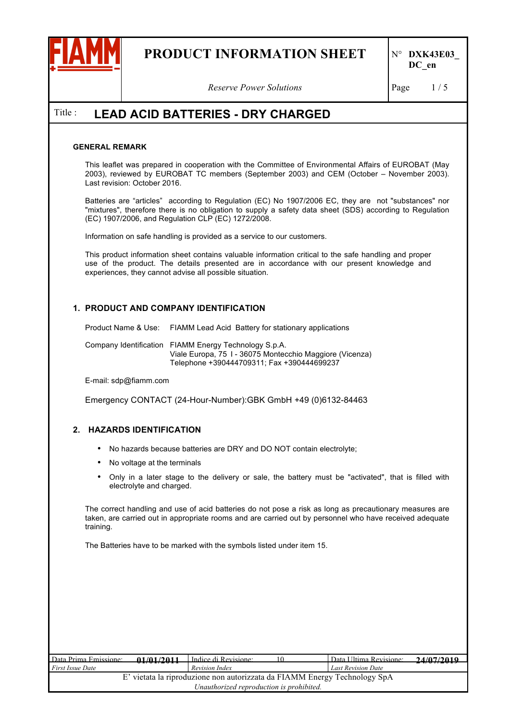

*Reserve Power Solutions* Page 1/5

## Title : **LEAD ACID BATTERIES - DRY CHARGED**

#### **GENERAL REMARK**

This leaflet was prepared in cooperation with the Committee of Environmental Affairs of EUROBAT (May 2003), reviewed by EUROBAT TC members (September 2003) and CEM (October – November 2003). Last revision: October 2016.

Batteries are "articles" according to Regulation (EC) No 1907/2006 EC, they are not "substances" nor "mixtures", therefore there is no obligation to supply a safety data sheet (SDS) according to Regulation (EC) 1907/2006, and Regulation CLP (EC) 1272/2008.

Information on safe handling is provided as a service to our customers.

This product information sheet contains valuable information critical to the safe handling and proper use of the product. The details presented are in accordance with our present knowledge and experiences, they cannot advise all possible situation.

### **1. PRODUCT AND COMPANY IDENTIFICATION**

Product Name & Use: FIAMM Lead Acid Battery for stationary applications

Company Identification FIAMM Energy Technology S.p.A. Viale Europa, 75 I - 36075 Montecchio Maggiore (Vicenza) Telephone +390444709311; Fax +390444699237

E-mail: sdp@fiamm.com

Emergency CONTACT (24-Hour-Number):GBK GmbH +49 (0)6132-84463

#### **2. HAZARDS IDENTIFICATION**

- No hazards because batteries are DRY and DO NOT contain electrolyte;
- No voltage at the terminals
- Only in a later stage to the delivery or sale, the battery must be "activated", that is filled with electrolyte and charged.

The correct handling and use of acid batteries do not pose a risk as long as precautionary measures are taken, are carried out in appropriate rooms and are carried out by personnel who have received adequate training.

The Batteries have to be marked with the symbols listed under item 15.

| Data Prima Emissione:                                                     | 01/01/2011 | Indice di Revisione: |  | Data Ultima Revisione:    | 24/07/2010 |
|---------------------------------------------------------------------------|------------|----------------------|--|---------------------------|------------|
| <i>First Issue Date</i>                                                   | .          | Revision Index       |  | <b>Last Revision Date</b> |            |
| E' vietata la riproduzione non autorizzata da FIAMM Energy Technology SpA |            |                      |  |                           |            |
| Unauthorized reproduction is prohibited.                                  |            |                      |  |                           |            |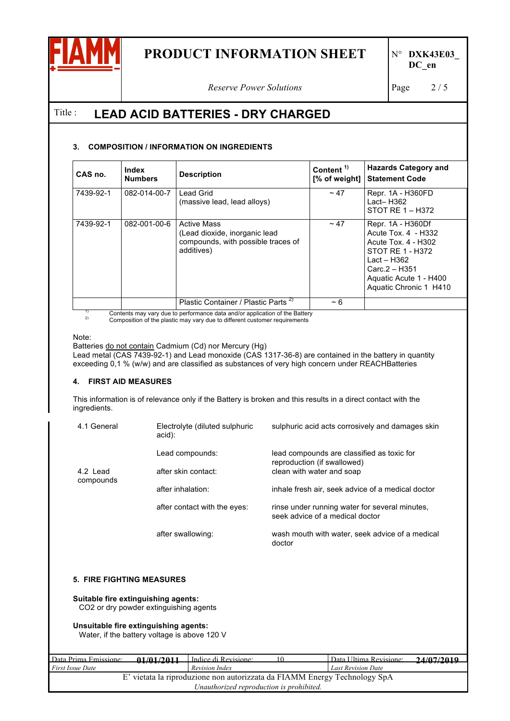

**DC\_en**

*Reserve Power Solutions* Page 2/5

## Title : **LEAD ACID BATTERIES - DRY CHARGED**

### **3. COMPOSITION / INFORMATION ON INGREDIENTS**

| CAS no.   | Index<br><b>Numbers</b> | <b>Description</b>                                                                                      | Content <sup>1)</sup><br>[% of weight] | <b>Hazards Category and</b><br><b>Statement Code</b>                                                                                                                    |
|-----------|-------------------------|---------------------------------------------------------------------------------------------------------|----------------------------------------|-------------------------------------------------------------------------------------------------------------------------------------------------------------------------|
| 7439-92-1 | 082-014-00-7            | Lead Grid<br>(massive lead, lead alloys)                                                                | $\sim$ 47                              | Repr. 1A - H360FD<br>$Lact - H362$<br>STOT RE 1 - H372                                                                                                                  |
| 7439-92-1 | 082-001-00-6            | <b>Active Mass</b><br>(Lead dioxide, inorganic lead<br>compounds, with possible traces of<br>additives) | $~\sim$ 47                             | Repr. 1A - H360Df<br>Acute Tox. 4 - H332<br>Acute Tox. 4 - H302<br>STOT RE 1 - H372<br>Lact – H362<br>Carc.2 - H351<br>Aquatic Acute 1 - H400<br>Aquatic Chronic 1 H410 |
|           |                         | Plastic Container / Plastic Parts <sup>2)</sup>                                                         | $~1$ – 6                               |                                                                                                                                                                         |

<sup>1)</sup> Contents may vary due to performance data and/or application of the Battery Composition of the plastic may vary due to different customer requirements

Note:

Batteries do not contain Cadmium (Cd) nor Mercury (Hg)

Lead metal (CAS 7439-92-1) and Lead monoxide (CAS 1317-36-8) are contained in the battery in quantity exceeding 0,1 % (w/w) and are classified as substances of very high concern under REACHBatteries

### **4. FIRST AID MEASURES**

This information is of relevance only if the Battery is broken and this results in a direct contact with the ingredients.

| 4.1 General           | Electrolyte (diluted sulphuric<br>acid): | sulphuric acid acts corrosively and damages skin                                  |
|-----------------------|------------------------------------------|-----------------------------------------------------------------------------------|
|                       | Lead compounds:                          | lead compounds are classified as toxic for<br>reproduction (if swallowed)         |
| 4.2 Lead<br>compounds | after skin contact:                      | clean with water and soap                                                         |
|                       | after inhalation:                        | inhale fresh air, seek advice of a medical doctor                                 |
|                       | after contact with the eyes:             | rinse under running water for several minutes.<br>seek advice of a medical doctor |
|                       | after swallowing:                        | wash mouth with water, seek advice of a medical<br>doctor                         |

#### **5. FIRE FIGHTING MEASURES**

**Suitable fire extinguishing agents:**  CO2 or dry powder extinguishing agents

**Unsuitable fire extinguishing agents:**  Water, if the battery voltage is above 120 V

| Data Prima Emissione:                                                     | 01/01/2011 | Indice di Revisione: | Data Ultima Revisione:    | 24/07/2010 |  |
|---------------------------------------------------------------------------|------------|----------------------|---------------------------|------------|--|
| <b>First Issue Date</b>                                                   | .          | Revision Index       | <b>Last Revision Date</b> | --------   |  |
| E' vietata la riproduzione non autorizzata da FIAMM Energy Technology SpA |            |                      |                           |            |  |
| Unauthorized reproduction is prohibited.                                  |            |                      |                           |            |  |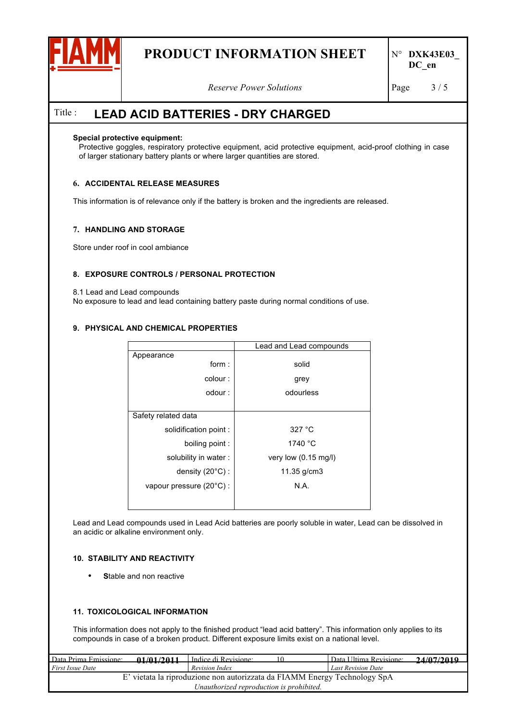

*Reserve Power Solutions* Page 3/5

## Title : **LEAD ACID BATTERIES - DRY CHARGED**

#### **Special protective equipment:**

Protective goggles, respiratory protective equipment, acid protective equipment, acid-proof clothing in case of larger stationary battery plants or where larger quantities are stored.

### **6. ACCIDENTAL RELEASE MEASURES**

This information is of relevance only if the battery is broken and the ingredients are released.

#### **7. HANDLING AND STORAGE**

Store under roof in cool ambiance

#### **8. EXPOSURE CONTROLS / PERSONAL PROTECTION**

8.1 Lead and Lead compounds

No exposure to lead and lead containing battery paste during normal conditions of use.

#### **9. PHYSICAL AND CHEMICAL PROPERTIES**

| Lead and Lead compounds        |
|--------------------------------|
|                                |
| solid                          |
| grey                           |
| odourless                      |
|                                |
|                                |
| 327 °C                         |
| 1740 °C                        |
| very low $(0.15 \text{ mg/l})$ |
| 11.35 $g/cm3$                  |
| N.A.                           |
|                                |
|                                |

Lead and Lead compounds used in Lead Acid batteries are poorly soluble in water, Lead can be dissolved in an acidic or alkaline environment only.

#### **10. STABILITY AND REACTIVITY**

• **S**table and non reactive

#### **11. TOXICOLOGICAL INFORMATION**

This information does not apply to the finished product "lead acid battery". This information only applies to its compounds in case of a broken product. Different exposure limits exist on a national level.

| Data Prima Emissione:                                                     | 01/01/2011 | Indice di Revisione: | Data Ultima Revisione:    | 24/07/2010 |  |
|---------------------------------------------------------------------------|------------|----------------------|---------------------------|------------|--|
| <i>First Issue Date</i>                                                   | .          | Revision Index       | <b>Last Revision Date</b> | --------   |  |
| E' vietata la riproduzione non autorizzata da FIAMM Energy Technology SpA |            |                      |                           |            |  |
| Unauthorized reproduction is prohibited.                                  |            |                      |                           |            |  |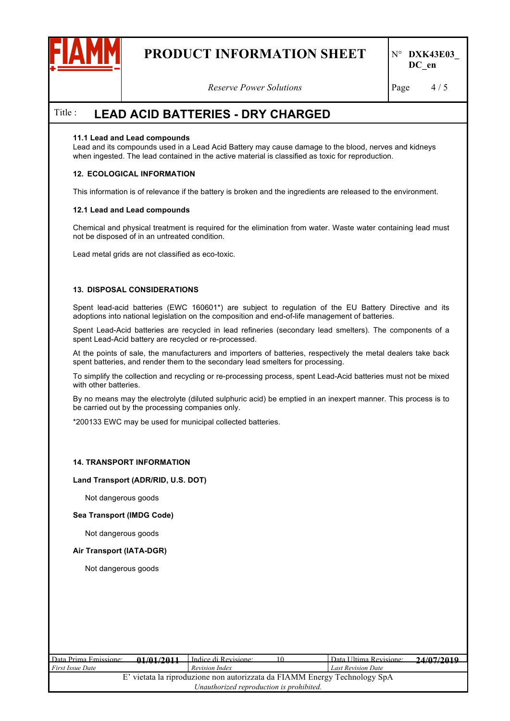

*Reserve Power Solutions* Page 4/5

## Title : **LEAD ACID BATTERIES - DRY CHARGED**

#### **11.1 Lead and Lead compounds**

Lead and its compounds used in a Lead Acid Battery may cause damage to the blood, nerves and kidneys when ingested. The lead contained in the active material is classified as toxic for reproduction.

#### **12. ECOLOGICAL INFORMATION**

This information is of relevance if the battery is broken and the ingredients are released to the environment.

#### **12.1 Lead and Lead compounds**

Chemical and physical treatment is required for the elimination from water. Waste water containing lead must not be disposed of in an untreated condition.

Lead metal grids are not classified as eco-toxic.

#### **13. DISPOSAL CONSIDERATIONS**

Spent lead-acid batteries (EWC 160601\*) are subject to regulation of the EU Battery Directive and its adoptions into national legislation on the composition and end-of-life management of batteries.

Spent Lead-Acid batteries are recycled in lead refineries (secondary lead smelters). The components of a spent Lead-Acid battery are recycled or re-processed.

At the points of sale, the manufacturers and importers of batteries, respectively the metal dealers take back spent batteries, and render them to the secondary lead smelters for processing.

To simplify the collection and recycling or re-processing process, spent Lead-Acid batteries must not be mixed with other batteries.

By no means may the electrolyte (diluted sulphuric acid) be emptied in an inexpert manner. This process is to be carried out by the processing companies only.

\*200133 EWC may be used for municipal collected batteries.

#### **14. TRANSPORT INFORMATION**

#### **Land Transport (ADR/RID, U.S. DOT)**

Not dangerous goods

#### **Sea Transport (IMDG Code)**

Not dangerous goods

#### **Air Transport (IATA-DGR)**

Not dangerous goods

| Data Prima Emissione:                                                     | 01/01/2011 | I Indice di Revisione: |  | Data Ultima Revisione:    | 24/07/2010       |
|---------------------------------------------------------------------------|------------|------------------------|--|---------------------------|------------------|
| <i>First Issue Date</i>                                                   | .          | Revision Index         |  | <b>Last Revision Date</b> | - . <del>.</del> |
| E' vietata la riproduzione non autorizzata da FIAMM Energy Technology SpA |            |                        |  |                           |                  |
| Unauthorized reproduction is prohibited.                                  |            |                        |  |                           |                  |